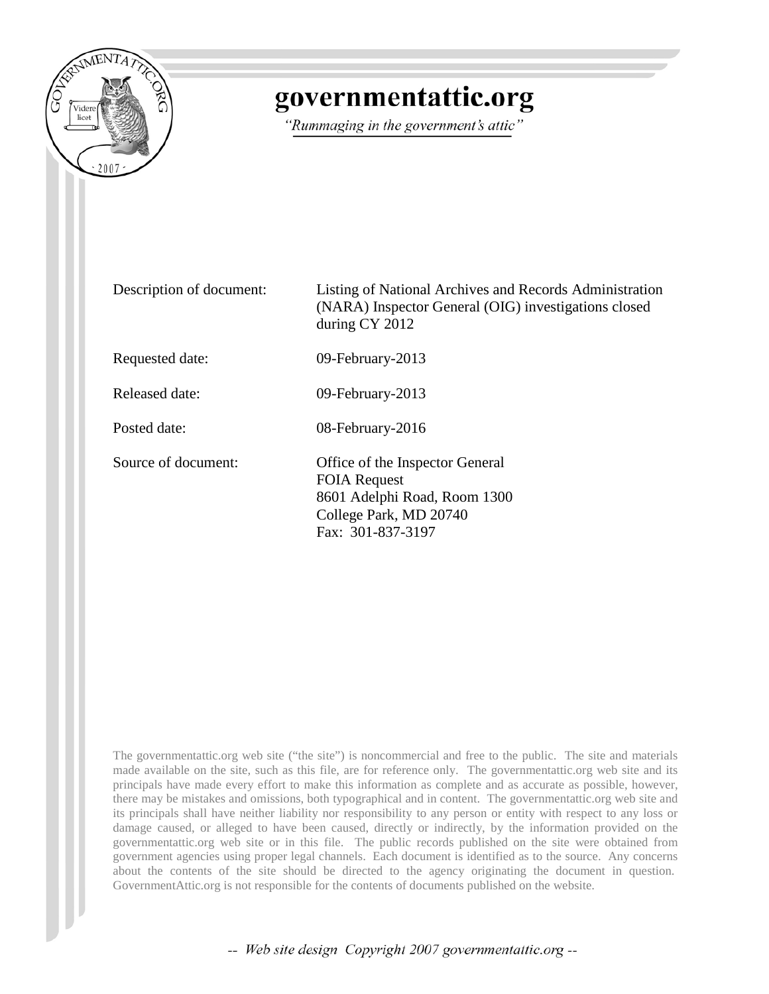

# governmentattic.org

"Rummaging in the government's attic"

Description of document: Listing of National Archives and Records Administration (NARA) Inspector General (OIG) investigations closed during CY 2012 Requested date: 09-February-2013 Released date: 09-February-2013 Posted date: 08-February-2016 Source of document: Office of the Inspector General FOIA Request 8601 Adelphi Road, Room 1300 College Park, MD 20740 Fax: 301-837-3197

The governmentattic.org web site ("the site") is noncommercial and free to the public. The site and materials made available on the site, such as this file, are for reference only. The governmentattic.org web site and its principals have made every effort to make this information as complete and as accurate as possible, however, there may be mistakes and omissions, both typographical and in content. The governmentattic.org web site and its principals shall have neither liability nor responsibility to any person or entity with respect to any loss or damage caused, or alleged to have been caused, directly or indirectly, by the information provided on the governmentattic.org web site or in this file. The public records published on the site were obtained from government agencies using proper legal channels. Each document is identified as to the source. Any concerns about the contents of the site should be directed to the agency originating the document in question. GovernmentAttic.org is not responsible for the contents of documents published on the website.

-- Web site design Copyright 2007 governmentattic.org --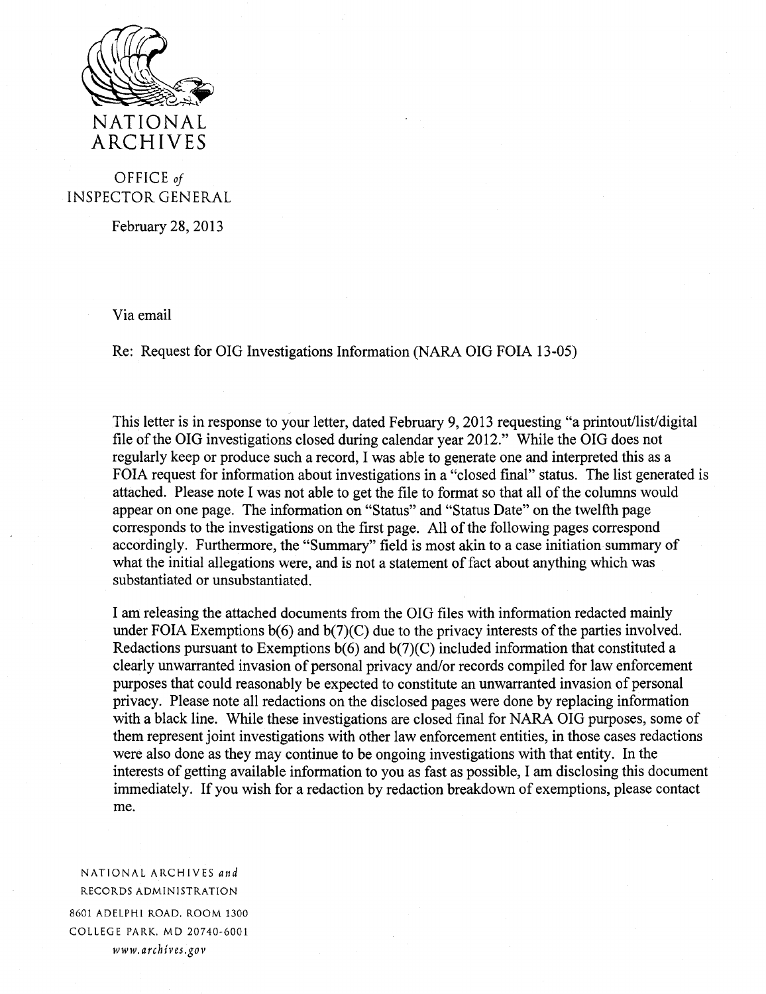

# OFFICE *of*  INSPECTOR GENERAL

February 28, 2013

Via email

Re: Request for OIG Investigations Information (NARA OIG FOIA 13-05)

This letter is in response to your letter, dated February 9, 2013 requesting "a printout/list/digital file of the OIG investigations closed during calendar year 2012." While the OIG does not regularly keep or produce such a record, I was able to generate one and interpreted this as a FOIA request for information about investigations in a "closed final" status. The list generated is attached. Please note I was not able to get the file to format so that all of the columns would appear on one page. The information on "Status" and "Status Date" on the twelfth page corresponds to the investigations on the first page. All of the following pages correspond accordingly. Furthermore, the "Summary" field is most akin to a case initiation summary of what the initial allegations were, and is not a statement of fact about anything which was substantiated or unsubstantiated.

I am releasing the attached documents from the OIG files with information redacted mainly under FOIA Exemptions  $b(6)$  and  $b(7)(C)$  due to the privacy interests of the parties involved. Redactions pursuant to Exemptions  $b(6)$  and  $b(7)(C)$  included information that constituted a clearly unwarranted invasion of personal privacy and/or records compiled for law enforcement purposes that could reasonably be expected to constitute an unwarranted invasion of personal privacy. Please note all redactions on the disclosed pages were done by replacing information with a black line. While these investigations are closed final for NARA OIG purposes, some of them represent joint investigations with other law enforcement entities, in those cases redactions were also done as they may continue to be ongoing investigations with that entity. In the interests of getting available information to you as fast as possible, I am disclosing this document immediately. If you wish for a redaction by redaction breakdown of exemptions, please contact me.

NATIONAL ARCHIVES *and*  RECORDS ADMINISTRATION 8601 ADELPHI ROAD. ROOM 1300

COLLEGE PARK, MD 20740-6001 *www.archives.gov*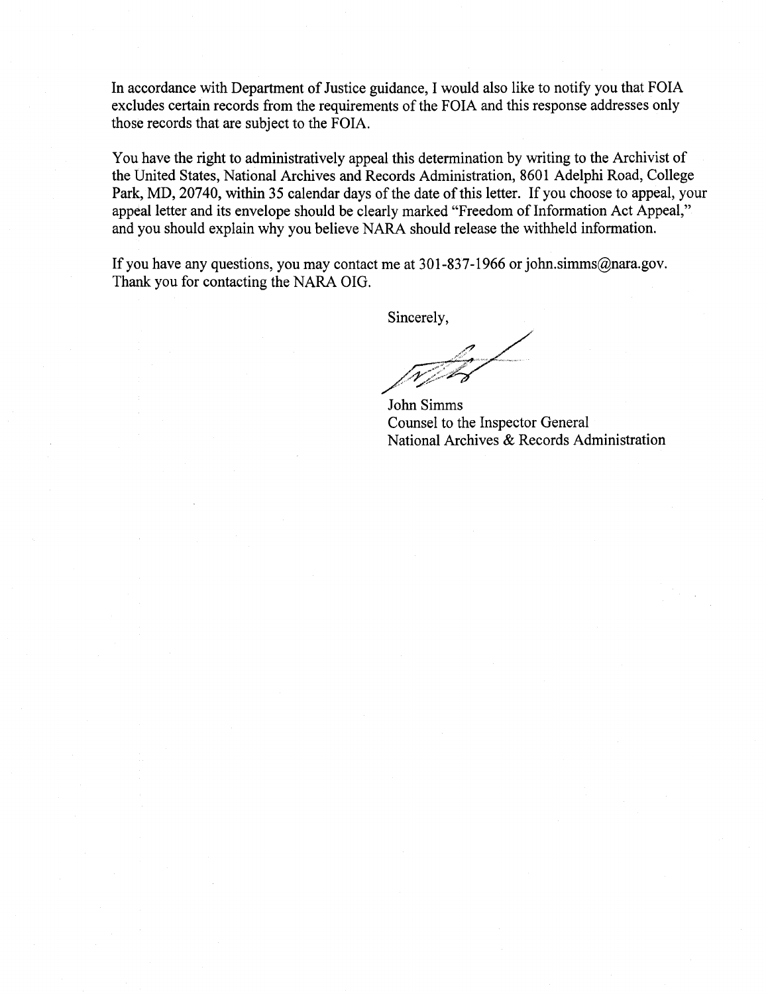In accordance with Department of Justice guidance, I would also like to notify you that FOIA excludes certain records from the requirements of the FOIA and this response addresses only those records that are subject to the FOIA.

You have the right to administratively appeal this determination by writing to the Archivist of the United States, National Archives and Records Administration, 8601 Adelphi Road, College Park, MD, 20740, within 35 calendar days of the date of this letter. If you choose to appeal, your appeal letter and its envelope should be clearly marked "Freedom of Information Act Appeal," and you should explain why you believe NARA should release the withheld information.

If you have any questions, you may contact me at 301-837-1966 or john.simms@nara.gov. Thank you for contacting the NARA OIG.

Sincerely,

 $\frac{1}{\sqrt{2}}$ 

John Simms Counsel to the Inspector General National Archives & Records Administration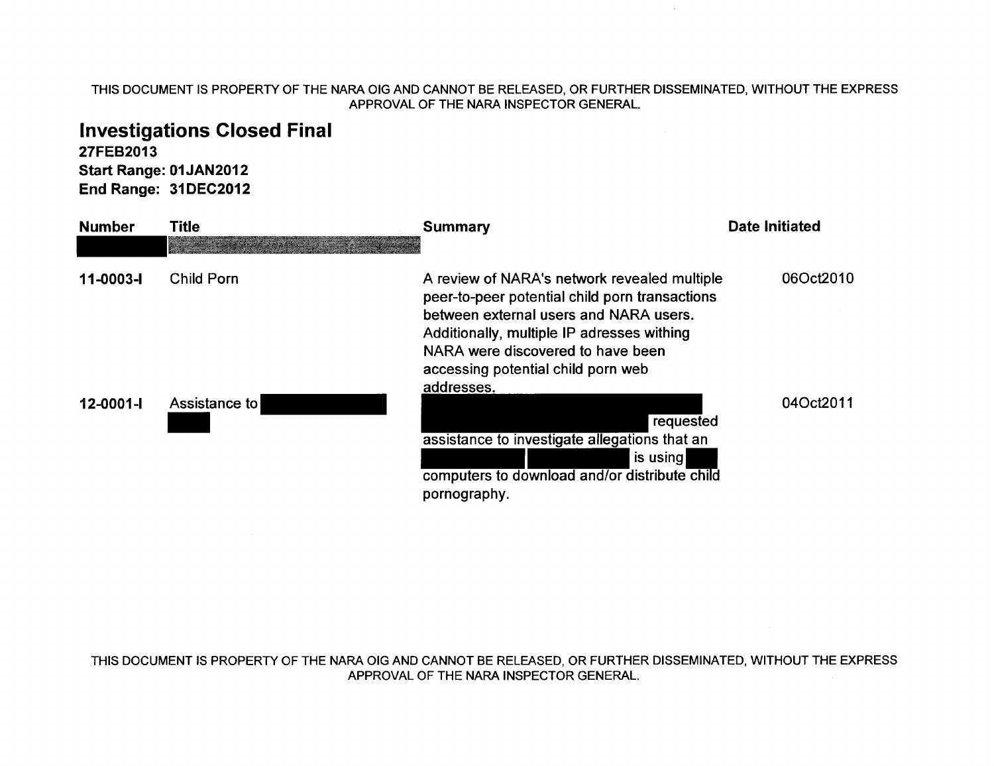# Investigations Closed Final

27FEB2013 Start Range: 01JAN2012 End Range: 31DEC2012

| <b>Number</b>   | Title             | <b>Summary</b>                                                                                                                                                                                                                                                    | <b>Date Initiated</b> |
|-----------------|-------------------|-------------------------------------------------------------------------------------------------------------------------------------------------------------------------------------------------------------------------------------------------------------------|-----------------------|
| 11-0003-1       | <b>Child Porn</b> | A review of NARA's network revealed multiple<br>peer-to-peer potential child porn transactions<br>between external users and NARA users.<br>Additionally, multiple IP adresses withing<br>NARA were discovered to have been<br>accessing potential child porn web | 06Oct2010             |
| $12 - 0001 - 1$ | Assistance to     | addresses.<br>requested<br>assistance to investigate allegations that an<br>is using<br>computers to download and/or distribute child<br>pornography.                                                                                                             | 04Oct2011             |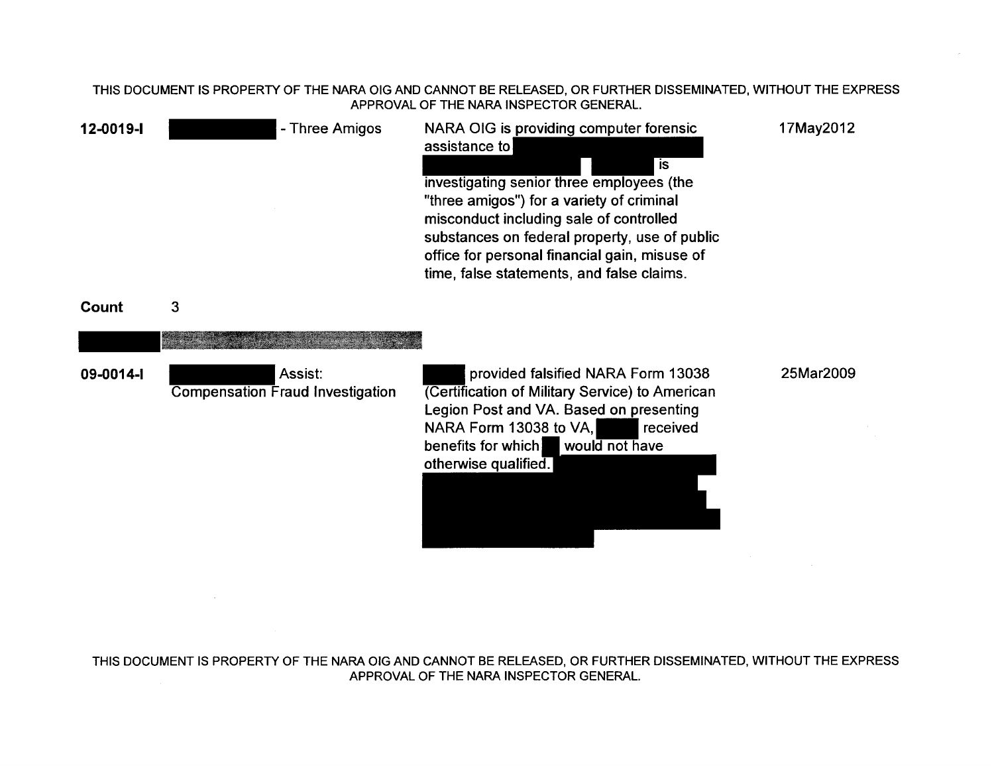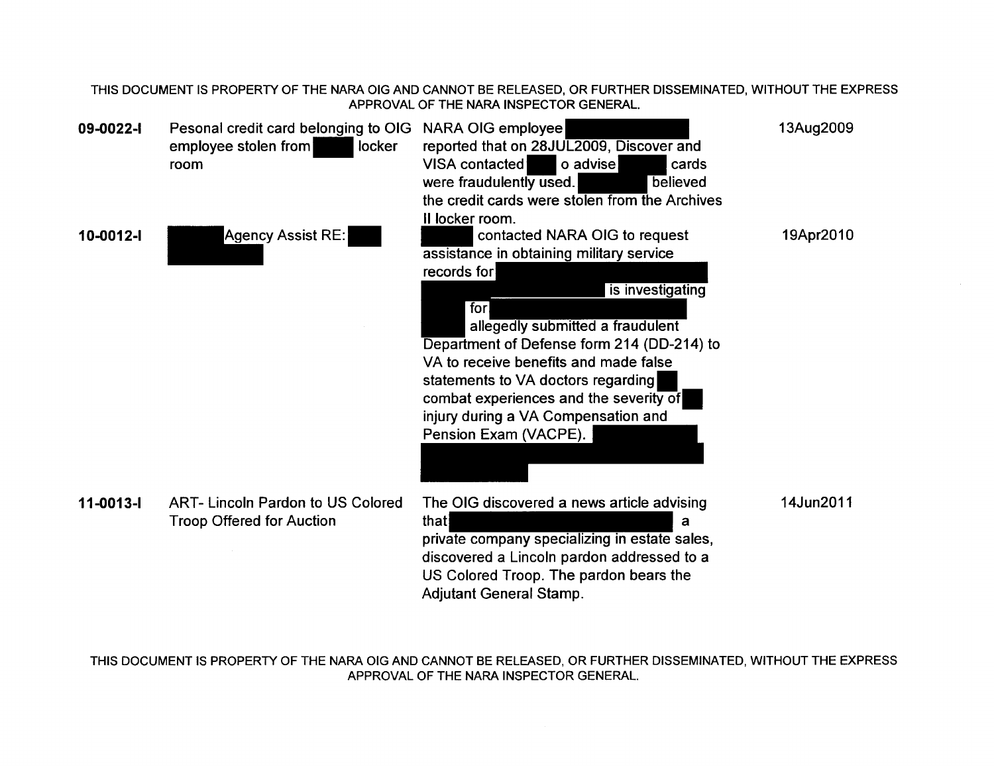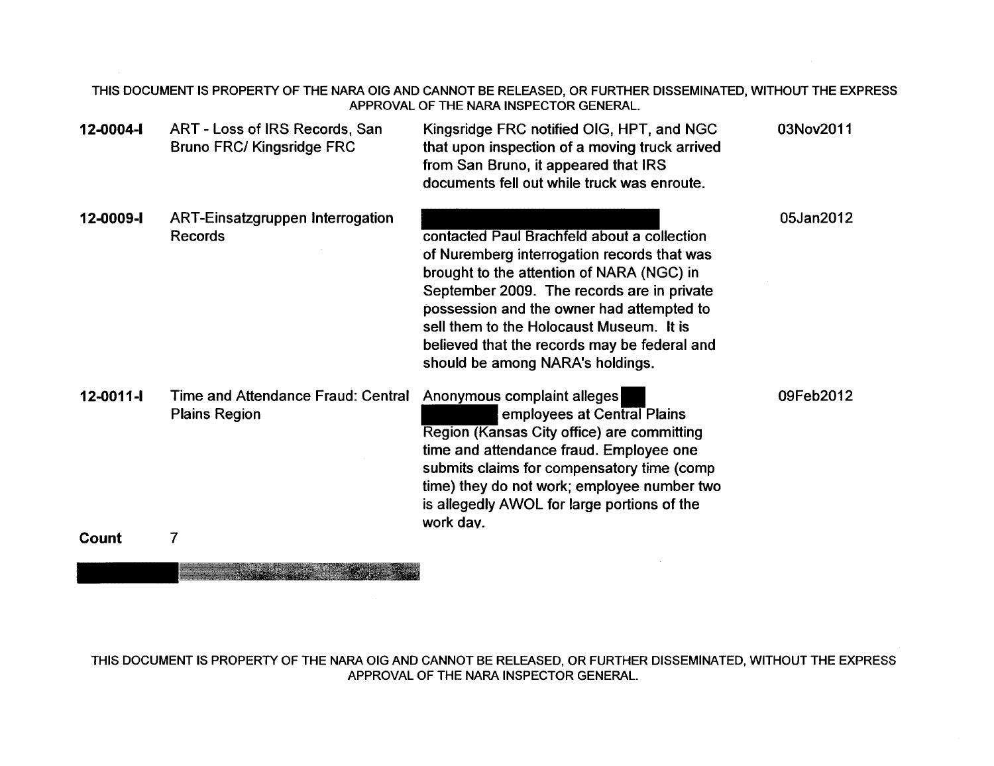|                          |                                                                    | THIS DOCUMENT IS PROPERTY OF THE NARA OIG AND CANNOT BE RELEASED, OR FURTHER DISSEMINATED, WITHOUT THE EXPRESS<br>APPROVAL OF THE NARA INSPECTOR GENERAL.                                                                                                                                                                                                          |           |
|--------------------------|--------------------------------------------------------------------|--------------------------------------------------------------------------------------------------------------------------------------------------------------------------------------------------------------------------------------------------------------------------------------------------------------------------------------------------------------------|-----------|
| 12-0004-1                | ART - Loss of IRS Records, San<br><b>Bruno FRC/ Kingsridge FRC</b> | Kingsridge FRC notified OIG, HPT, and NGC<br>that upon inspection of a moving truck arrived<br>from San Bruno, it appeared that IRS<br>documents fell out while truck was enroute.                                                                                                                                                                                 | 03Nov2011 |
| 12-0009-I                | <b>ART-Einsatzgruppen Interrogation</b><br><b>Records</b>          | contacted Paul Brachfeld about a collection<br>of Nuremberg interrogation records that was<br>brought to the attention of NARA (NGC) in<br>September 2009. The records are in private<br>possession and the owner had attempted to<br>sell them to the Holocaust Museum. It is<br>believed that the records may be federal and<br>should be among NARA's holdings. | 05Jan2012 |
| $12 - 0011 - 1$<br>Count | Time and Attendance Fraud: Central<br><b>Plains Region</b><br>7    | Anonymous complaint alleges<br>employees at Central Plains<br>Region (Kansas City office) are committing<br>time and attendance fraud. Employee one<br>submits claims for compensatory time (comp<br>time) they do not work; employee number two<br>is allegedly AWOL for large portions of the<br>work day.                                                       | 09Feb2012 |
|                          |                                                                    |                                                                                                                                                                                                                                                                                                                                                                    |           |

**Constitution of the Constitution**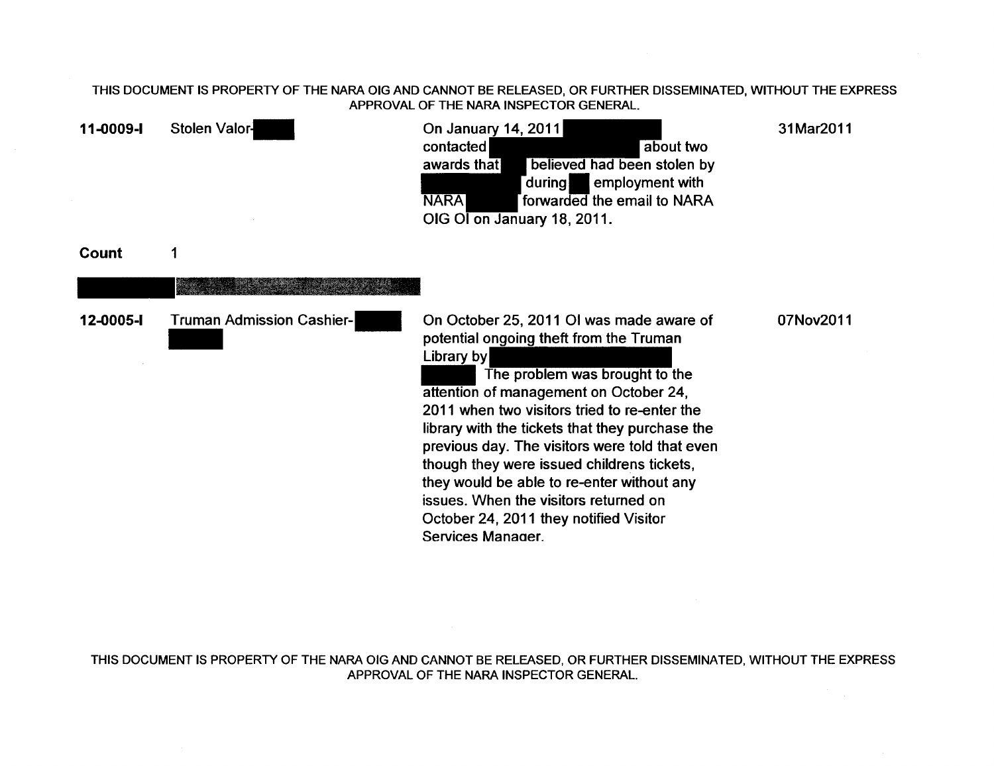| 11-0009-I | Stolen Valor-                    | On January 14, 2011<br>contacted<br>about two<br>believed had been stolen by<br>awards that<br>employment with<br>during<br><b>NARA</b><br>forwarded the email to NARA<br>OIG OI on January 18, 2011.                                                                                                                                                                                                                                                                                                                                  | 31Mar2011 |
|-----------|----------------------------------|----------------------------------------------------------------------------------------------------------------------------------------------------------------------------------------------------------------------------------------------------------------------------------------------------------------------------------------------------------------------------------------------------------------------------------------------------------------------------------------------------------------------------------------|-----------|
| Count     | 1                                |                                                                                                                                                                                                                                                                                                                                                                                                                                                                                                                                        |           |
|           |                                  |                                                                                                                                                                                                                                                                                                                                                                                                                                                                                                                                        |           |
| 12-0005-I | <b>Truman Admission Cashier-</b> | On October 25, 2011 OI was made aware of<br>potential ongoing theft from the Truman<br>Library by<br>The problem was brought to the<br>attention of management on October 24,<br>2011 when two visitors tried to re-enter the<br>library with the tickets that they purchase the<br>previous day. The visitors were told that even<br>though they were issued childrens tickets,<br>they would be able to re-enter without any<br>issues. When the visitors returned on<br>October 24, 2011 they notified Visitor<br>Services Manager. | 07Nov2011 |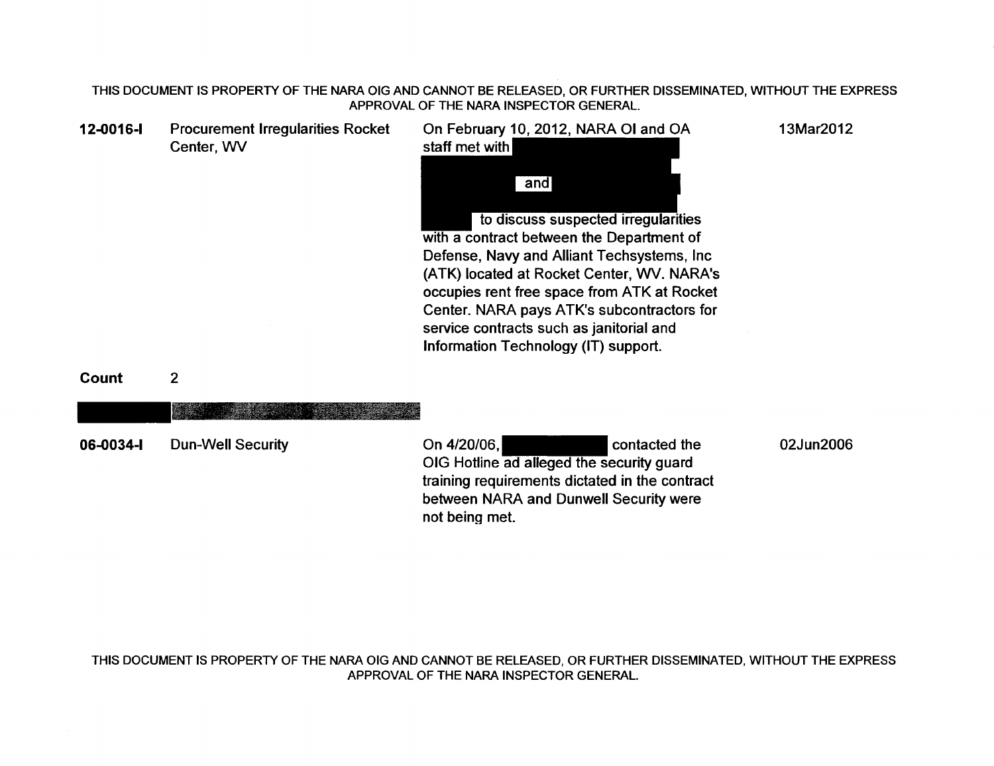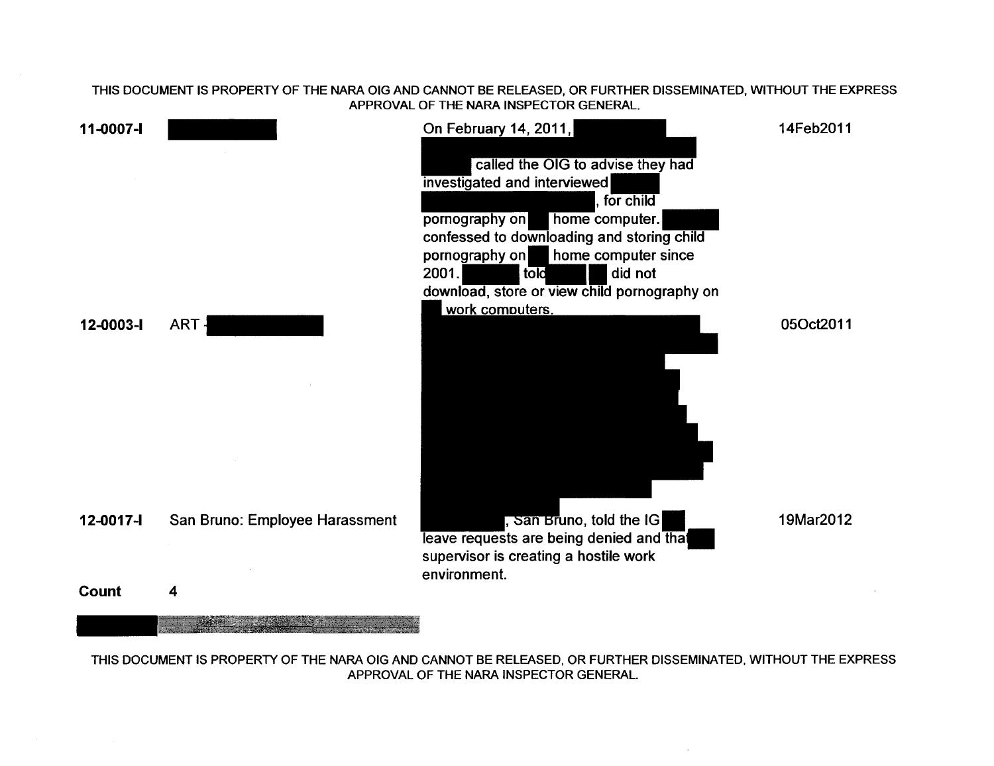

APPROVAL OF THE NARA INSPECTOR GENERAL.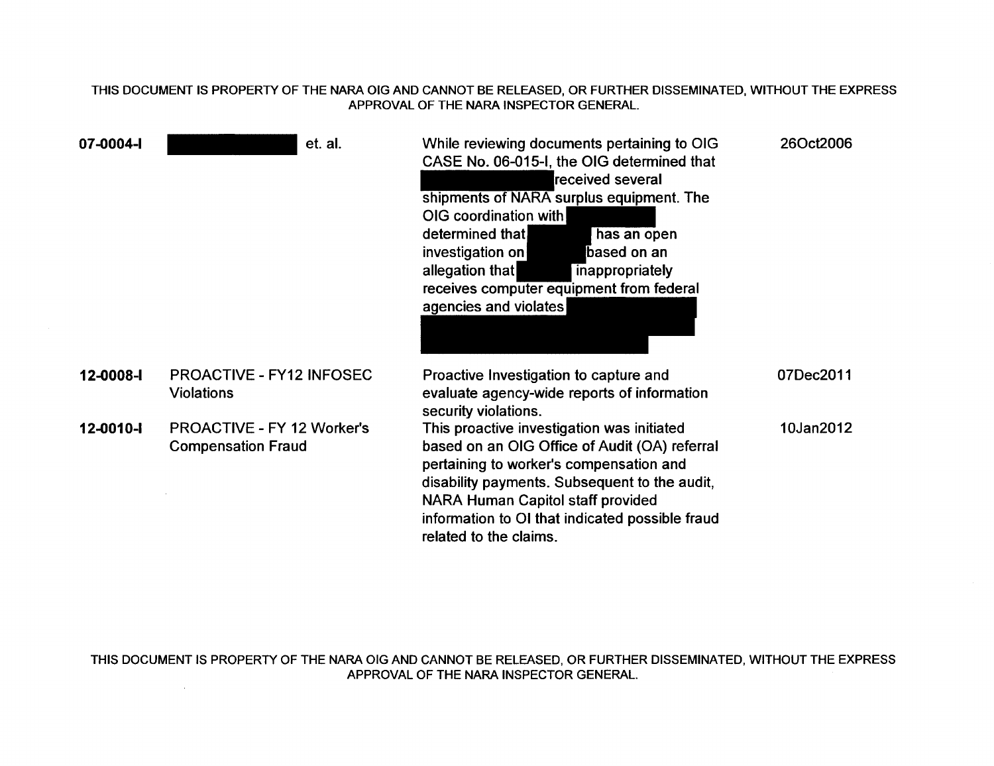| 07-0004-1 |                                                                | et. al. | While reviewing documents pertaining to OIG<br>CASE No. 06-015-I, the OIG determined that<br>received several<br>shipments of NARA surplus equipment. The<br>OIG coordination with<br>determined that<br>has an open<br>investigation on<br>based on an<br>allegation that<br>inappropriately<br>receives computer equipment from federal<br>agencies and violates | 26Oct2006 |
|-----------|----------------------------------------------------------------|---------|--------------------------------------------------------------------------------------------------------------------------------------------------------------------------------------------------------------------------------------------------------------------------------------------------------------------------------------------------------------------|-----------|
| 12-0008-1 | <b>PROACTIVE - FY12 INFOSEC</b><br><b>Violations</b>           |         | Proactive Investigation to capture and<br>evaluate agency-wide reports of information<br>security violations.                                                                                                                                                                                                                                                      | 07Dec2011 |
| 12-0010-1 | <b>PROACTIVE - FY 12 Worker's</b><br><b>Compensation Fraud</b> |         | This proactive investigation was initiated<br>based on an OIG Office of Audit (OA) referral<br>pertaining to worker's compensation and<br>disability payments. Subsequent to the audit,<br><b>NARA Human Capitol staff provided</b><br>information to OI that indicated possible fraud<br>related to the claims.                                                   | 10Jan2012 |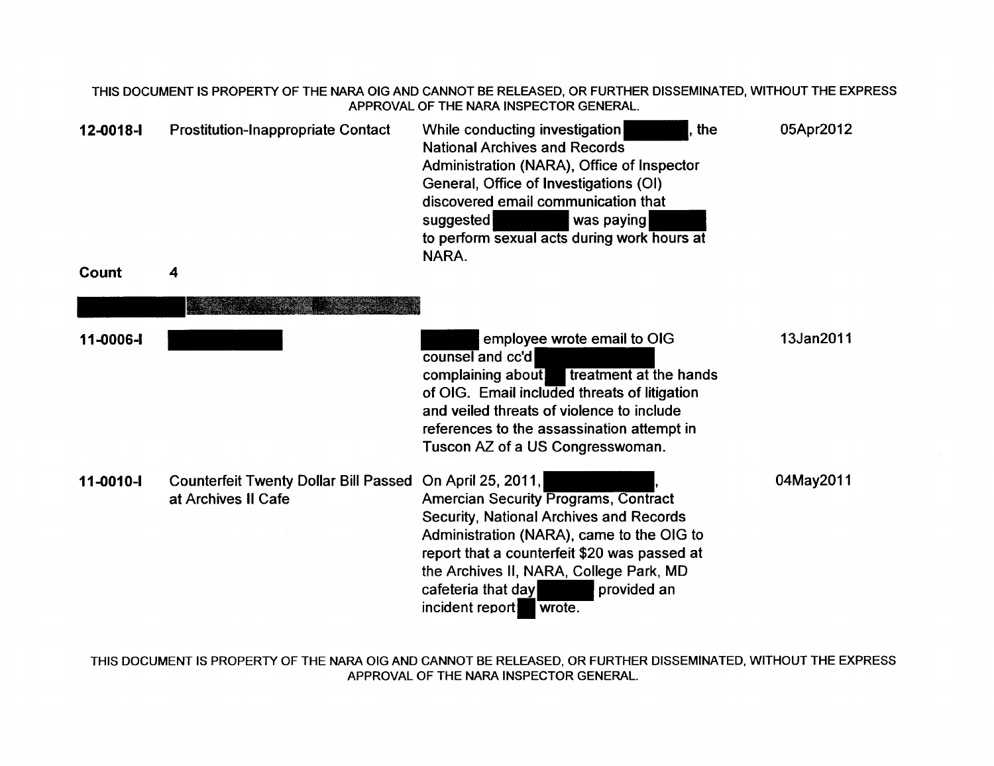| 12-0018-1 | <b>Prostitution-Inappropriate Contact</b>                           | the<br>While conducting investigation<br><b>National Archives and Records</b><br>Administration (NARA), Office of Inspector<br>General, Office of Investigations (OI)<br>discovered email communication that<br>suggested<br>was paying<br>to perform sexual acts during work hours at<br>NARA.                               | 05Apr2012 |
|-----------|---------------------------------------------------------------------|-------------------------------------------------------------------------------------------------------------------------------------------------------------------------------------------------------------------------------------------------------------------------------------------------------------------------------|-----------|
| Count     | 4                                                                   |                                                                                                                                                                                                                                                                                                                               |           |
|           |                                                                     |                                                                                                                                                                                                                                                                                                                               |           |
| 11-0006-l |                                                                     | employee wrote email to OIG<br>counsel and cc'd<br>treatment at the hands<br>complaining about<br>of OIG. Email included threats of litigation<br>and veiled threats of violence to include<br>references to the assassination attempt in<br>Tuscon AZ of a US Congresswoman.                                                 | 13Jan2011 |
| 11-0010-  | <b>Counterfeit Twenty Dollar Bill Passed</b><br>at Archives II Cafe | On April 25, 2011,<br><b>Amercian Security Programs, Contract</b><br><b>Security, National Archives and Records</b><br>Administration (NARA), came to the OIG to<br>report that a counterfeit \$20 was passed at<br>the Archives II, NARA, College Park, MD<br>cafeteria that day<br>provided an<br>incident report<br>wrote. | 04May2011 |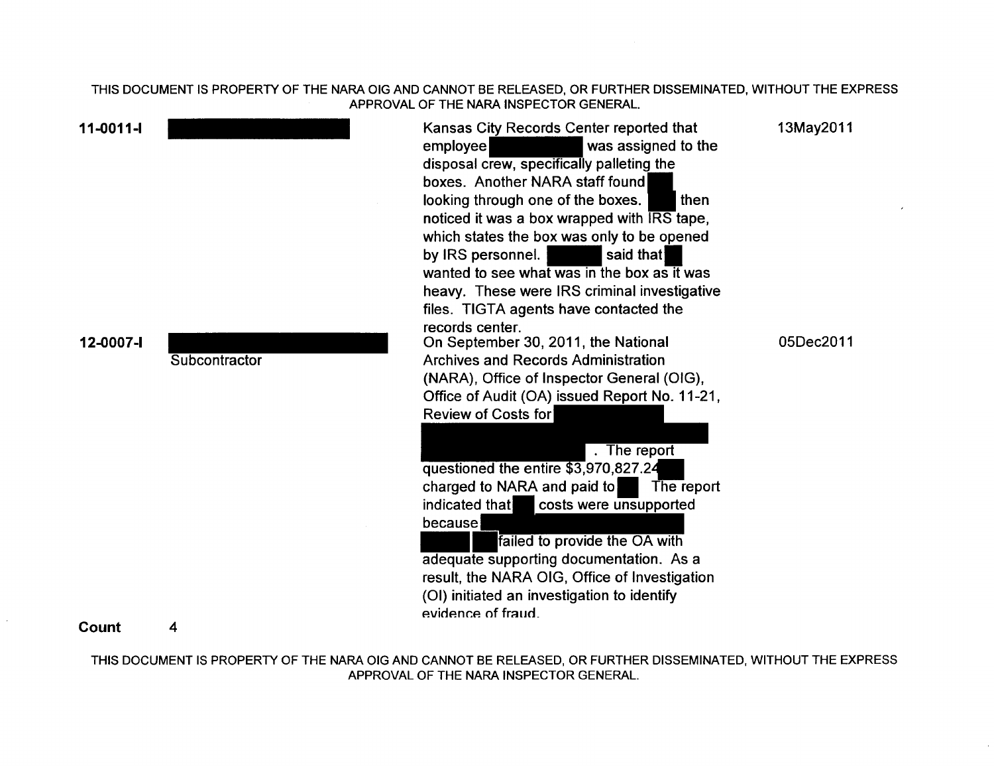| $11-0011-$ |               | Kansas City Records Center reported that<br>was assigned to the<br>employee<br>disposal crew, specifically palleting the<br>boxes. Another NARA staff found<br>looking through one of the boxes.<br>then<br>noticed it was a box wrapped with IRS tape,<br>which states the box was only to be opened<br>by IRS personnel.<br>said that<br>wanted to see what was in the box as it was<br>heavy. These were IRS criminal investigative<br>files. TIGTA agents have contacted the | 13May2011 |
|------------|---------------|----------------------------------------------------------------------------------------------------------------------------------------------------------------------------------------------------------------------------------------------------------------------------------------------------------------------------------------------------------------------------------------------------------------------------------------------------------------------------------|-----------|
| 12-0007-I  | Subcontractor | records center.<br>On September 30, 2011, the National<br><b>Archives and Records Administration</b><br>(NARA), Office of Inspector General (OIG),<br>Office of Audit (OA) issued Report No. 11-21,<br>Review of Costs for                                                                                                                                                                                                                                                       | 05Dec2011 |
|            |               | $\overline{.}$ The report<br>questioned the entire \$3,970,827.24<br>charged to NARA and paid to<br>The report<br>indicated that<br>costs were unsupported<br>because<br>failed to provide the OA with<br>adequate supporting documentation. As a<br>result, the NARA OIG, Office of Investigation<br>(OI) initiated an investigation to identify<br>evidence of fraud.                                                                                                          |           |

## Count 4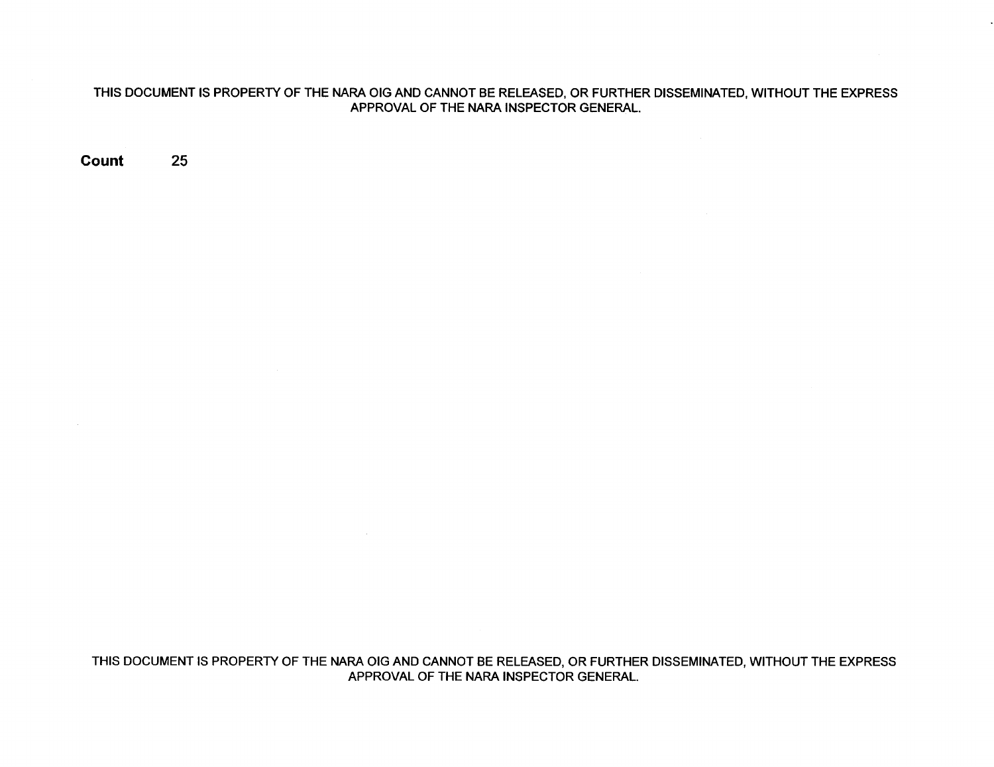**Count** 25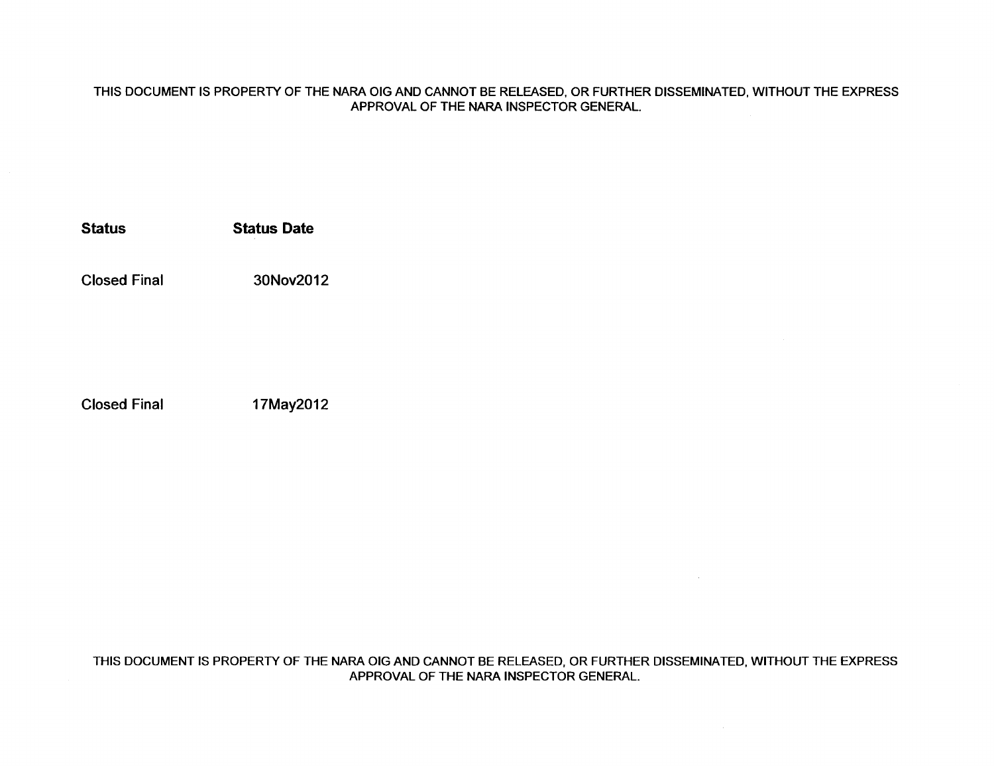**Status Status Date** 

Closed Final 30Nov2012

Closed Final 17May2012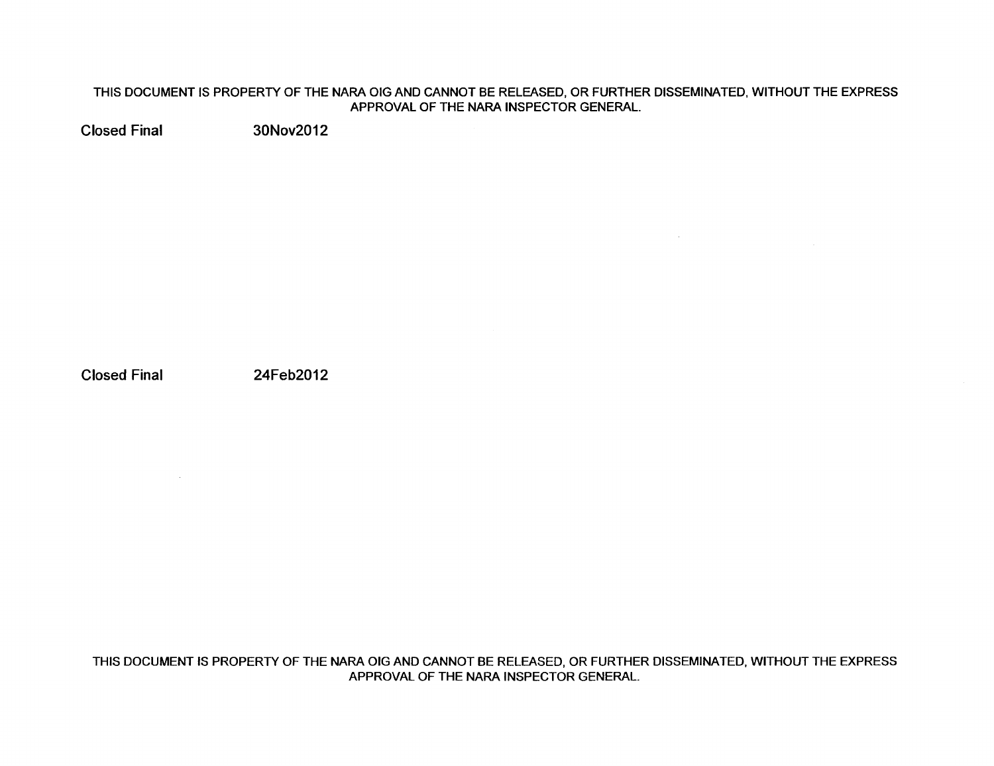$\sim 10^{-1}$ 

Closed Final 30Nov2012

Closed Final 24Feb2012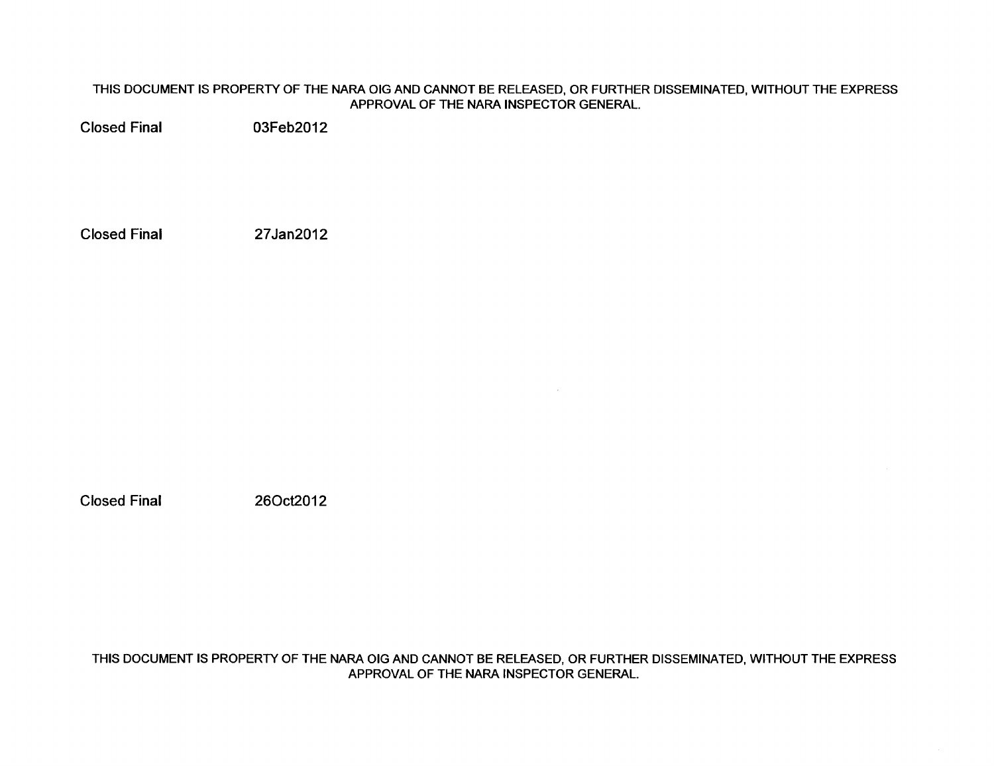Closed Final 03Feb2012

Closed Final 27Jan2012

Closed Final 260ct2012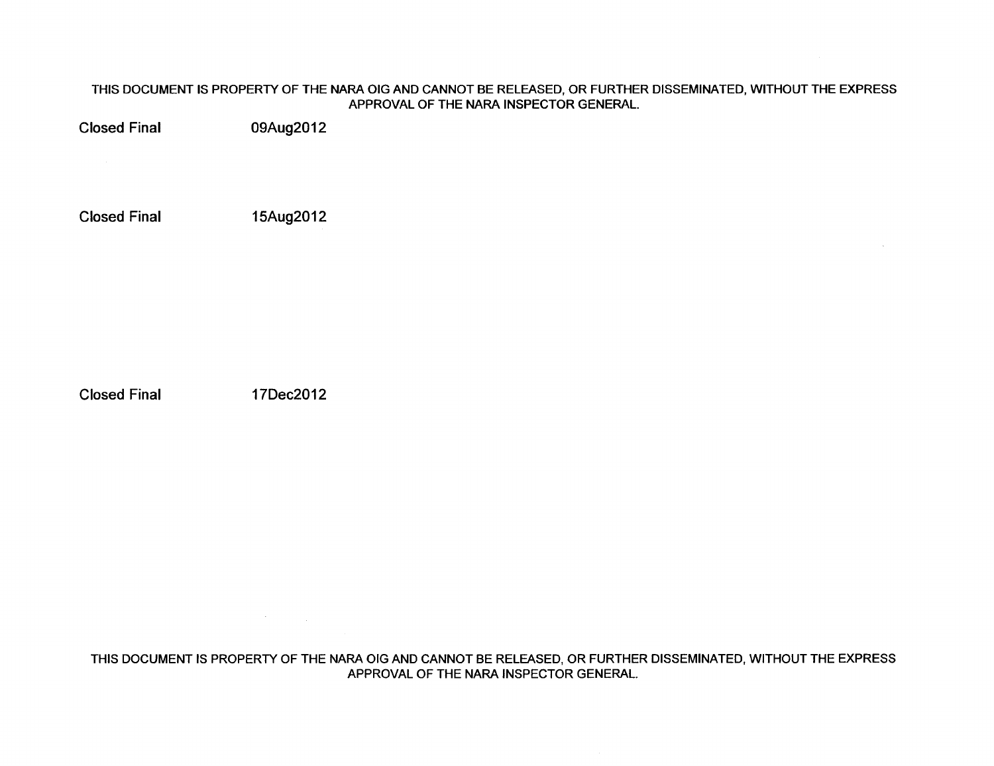Closed Final 09Aug2012

Closed Final 15Aug2012

Closed Final 17Dec2012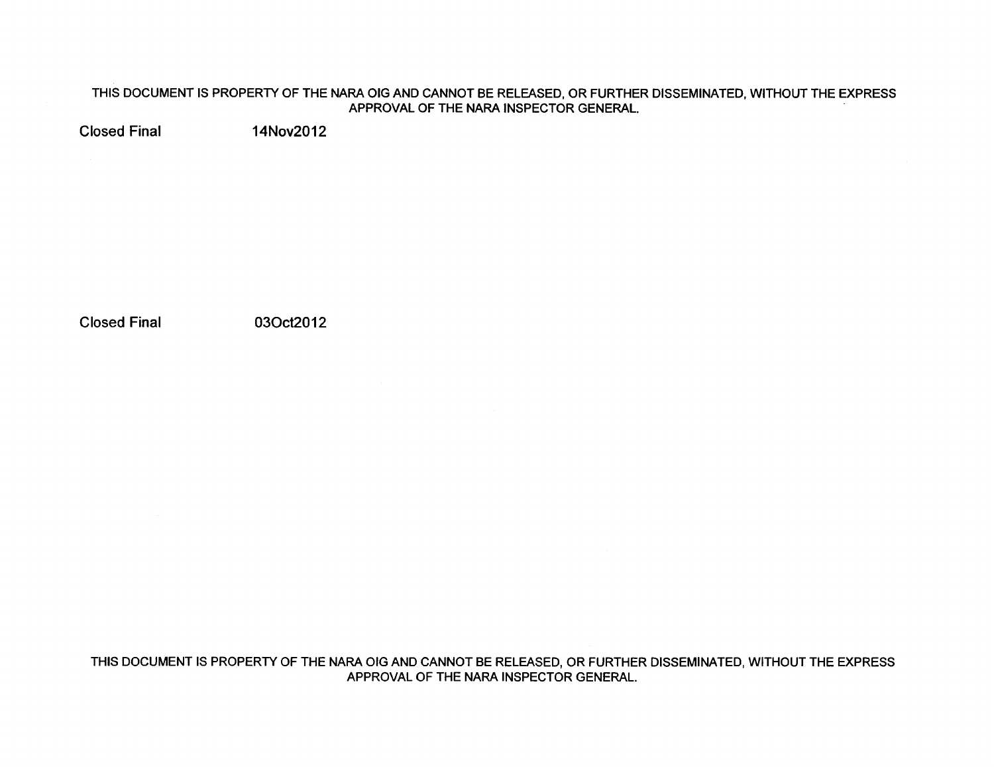Closed Final 14Nov2012

Closed Final 030ct2012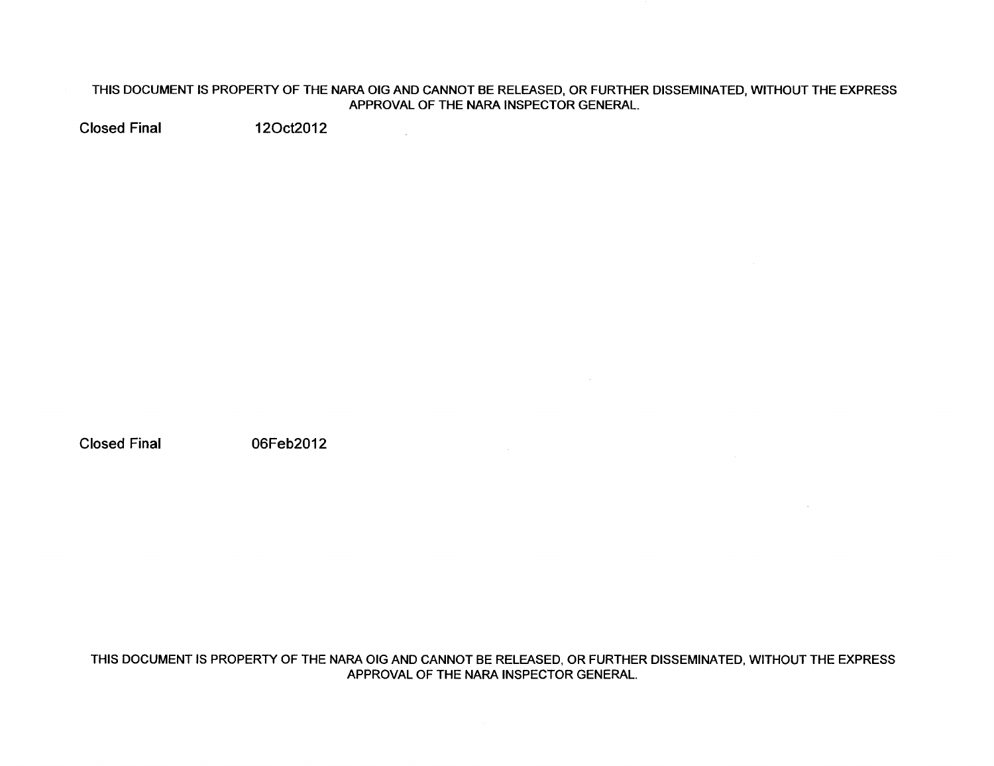$\sim 10^{11}$ 

Closed Final 120ct2012

Closed Final 06Feb2012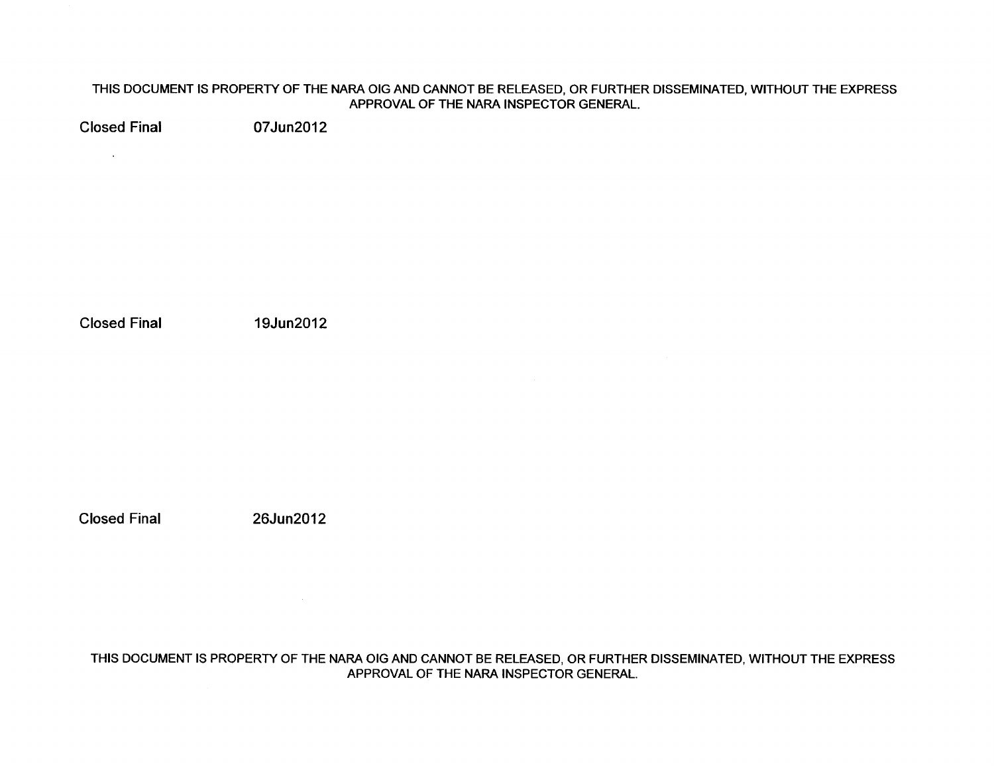Closed Final 07Jun2012

 $\sim 10^{-10}$  km  $^{-1}$ 

Closed Final 19Jun2012

Closed Final 26Jun2012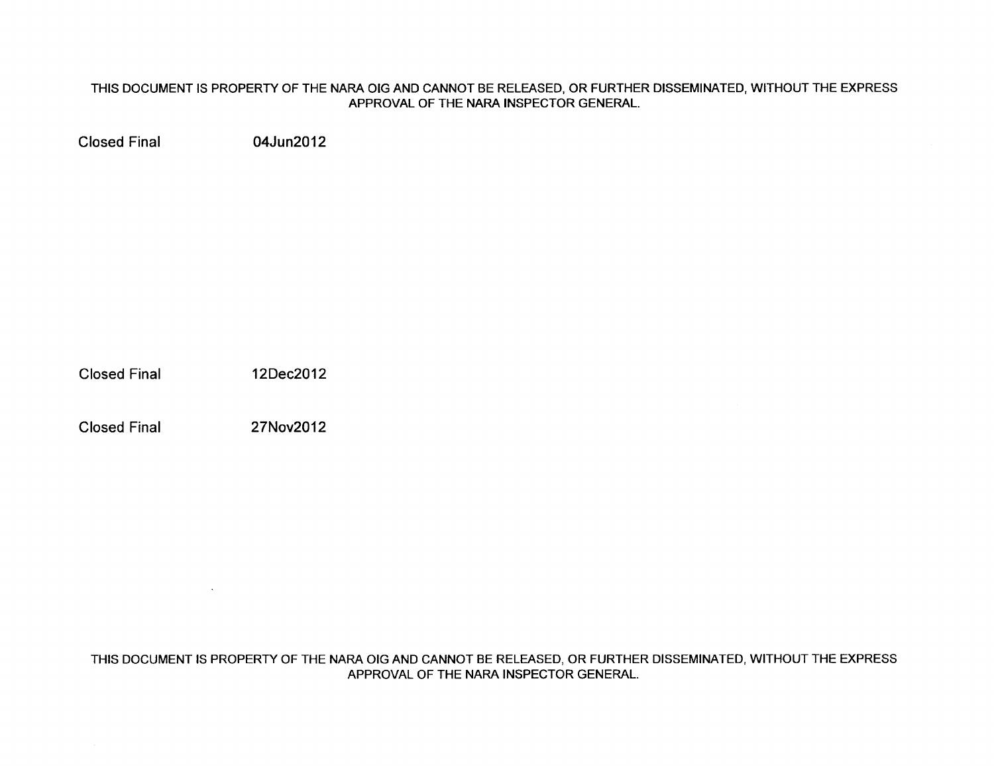Closed Final 04Jun2012

Closed Final 12Dec2012

Closed Final 27Nov2012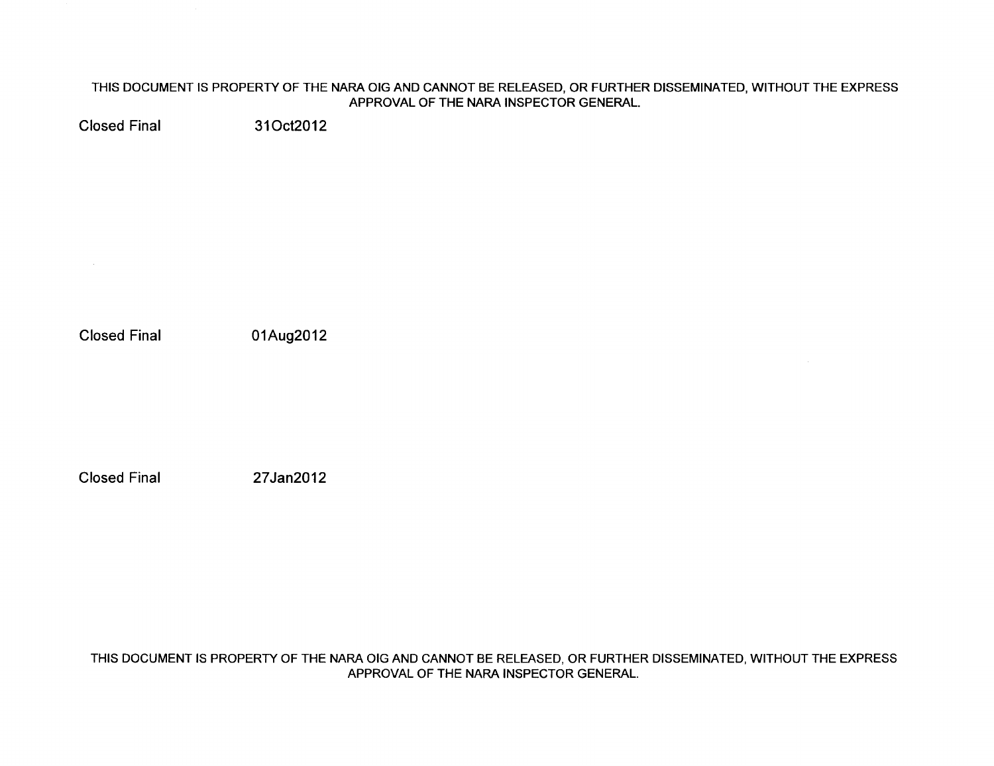Closed Final 310ct2012

Closed Final 01Aug2012

Closed Final 27Jan2012